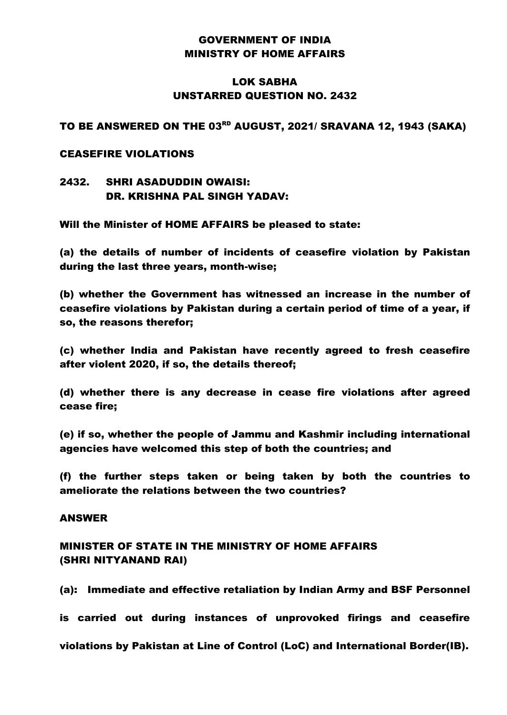## GOVERNMENT OF INDIA MINISTRY OF HOME AFFAIRS

# LOK SABHA UNSTARRED QUESTION NO. 2432

## TO BE ANSWERED ON THE 03<sup>rd</sup> AUGUST, 2021/ SRAVANA 12, 1943 (SAKA)

### CEASEFIRE VIOLATIONS

# 2432. SHRI ASADUDDIN OWAISI: DR. KRISHNA PAL SINGH YADAV:

Will the Minister of HOME AFFAIRS be pleased to state:

(a) the details of number of incidents of ceasefire violation by Pakistan during the last three years, month-wise;

(b) whether the Government has witnessed an increase in the number of ceasefire violations by Pakistan during a certain period of time of a year, if so, the reasons therefor;

(c) whether India and Pakistan have recently agreed to fresh ceasefire after violent 2020, if so, the details thereof;

(d) whether there is any decrease in cease fire violations after agreed cease fire;

(e) if so, whether the people of Jammu and Kashmir including international agencies have welcomed this step of both the countries; and

(f) the further steps taken or being taken by both the countries to ameliorate the relations between the two countries?

#### ANSWER

# MINISTER OF STATE IN THE MINISTRY OF HOME AFFAIRS (SHRI NITYANAND RAI)

(a): Immediate and effective retaliation by Indian Army and BSF Personnel

is carried out during instances of unprovoked firings and ceasefire

violations by Pakistan at Line of Control (LoC) and International Border(IB).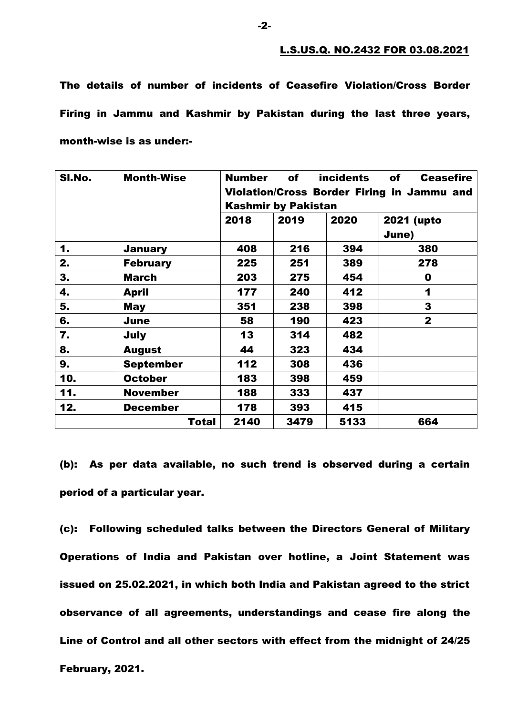The details of number of incidents of Ceasefire Violation/Cross Border Firing in Jammu and Kashmir by Pakistan during the last three years, month-wise is as under:-

| SI.No. | <b>Month-Wise</b> | <b>incidents</b><br><b>Number</b><br>of<br>of<br><b>Ceasefire</b><br>Violation/Cross Border Firing in Jammu and<br><b>Kashmir by Pakistan</b> |      |      |                     |  |
|--------|-------------------|-----------------------------------------------------------------------------------------------------------------------------------------------|------|------|---------------------|--|
|        |                   | 2018                                                                                                                                          | 2019 | 2020 | 2021 (upto<br>June) |  |
| 1.     | <b>January</b>    | 408                                                                                                                                           | 216  | 394  | 380                 |  |
| 2.     | <b>February</b>   | 225                                                                                                                                           | 251  | 389  | 278                 |  |
| 3.     | <b>March</b>      | 203                                                                                                                                           | 275  | 454  | $\mathbf 0$         |  |
| 4.     | <b>April</b>      | 177                                                                                                                                           | 240  | 412  | 1                   |  |
| 5.     | <b>May</b>        | 351                                                                                                                                           | 238  | 398  | 3                   |  |
| 6.     | June              | 58                                                                                                                                            | 190  | 423  | $\mathbf{2}$        |  |
| 7.     | July              | 13                                                                                                                                            | 314  | 482  |                     |  |
| 8.     | <b>August</b>     | 44                                                                                                                                            | 323  | 434  |                     |  |
| 9.     | <b>September</b>  | 112                                                                                                                                           | 308  | 436  |                     |  |
| 10.    | <b>October</b>    | 183                                                                                                                                           | 398  | 459  |                     |  |
| 11.    | <b>November</b>   | 188                                                                                                                                           | 333  | 437  |                     |  |
| 12.    | <b>December</b>   | 178                                                                                                                                           | 393  | 415  |                     |  |
|        | Total             | 2140                                                                                                                                          | 3479 | 5133 | 664                 |  |

(b): As per data available, no such trend is observed during a certain period of a particular year.

(c): Following scheduled talks between the Directors General of Military Operations of India and Pakistan over hotline, a Joint Statement was issued on 25.02.2021, in which both India and Pakistan agreed to the strict observance of all agreements, understandings and cease fire along the Line of Control and all other sectors with effect from the midnight of 24/25 February, 2021.